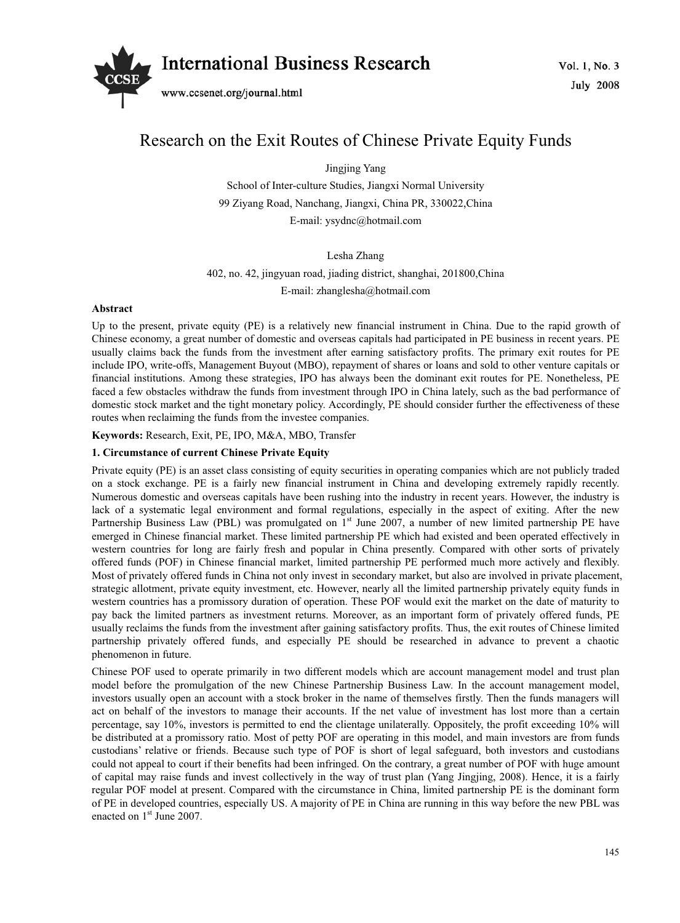

# Research on the Exit Routes of Chinese Private Equity Funds

Jingjing Yang

School of Inter-culture Studies, Jiangxi Normal University 99 Ziyang Road, Nanchang, Jiangxi, China PR, 330022,China E-mail: ysydnc@hotmail.com

## Lesha Zhang

402, no. 42, jingyuan road, jiading district, shanghai, 201800,China

E-mail: zhanglesha@hotmail.com

## **Abstract**

Up to the present, private equity (PE) is a relatively new financial instrument in China. Due to the rapid growth of Chinese economy, a great number of domestic and overseas capitals had participated in PE business in recent years. PE usually claims back the funds from the investment after earning satisfactory profits. The primary exit routes for PE include IPO, write-offs, Management Buyout (MBO), repayment of shares or loans and sold to other venture capitals or financial institutions. Among these strategies, IPO has always been the dominant exit routes for PE. Nonetheless, PE faced a few obstacles withdraw the funds from investment through IPO in China lately, such as the bad performance of domestic stock market and the tight monetary policy. Accordingly, PE should consider further the effectiveness of these routes when reclaiming the funds from the investee companies.

**Keywords:** Research, Exit, PE, IPO, M&A, MBO, Transfer

# **1. Circumstance of current Chinese Private Equity**

Private equity (PE) is an asset class consisting of equity securities in operating companies which are not publicly traded on a stock exchange. PE is a fairly new financial instrument in China and developing extremely rapidly recently. Numerous domestic and overseas capitals have been rushing into the industry in recent years. However, the industry is lack of a systematic legal environment and formal regulations, especially in the aspect of exiting. After the new Partnership Business Law (PBL) was promulgated on 1<sup>st</sup> June 2007, a number of new limited partnership PE have emerged in Chinese financial market. These limited partnership PE which had existed and been operated effectively in western countries for long are fairly fresh and popular in China presently. Compared with other sorts of privately offered funds (POF) in Chinese financial market, limited partnership PE performed much more actively and flexibly. Most of privately offered funds in China not only invest in secondary market, but also are involved in private placement, strategic allotment, private equity investment, etc. However, nearly all the limited partnership privately equity funds in western countries has a promissory duration of operation. These POF would exit the market on the date of maturity to pay back the limited partners as investment returns. Moreover, as an important form of privately offered funds, PE usually reclaims the funds from the investment after gaining satisfactory profits. Thus, the exit routes of Chinese limited partnership privately offered funds, and especially PE should be researched in advance to prevent a chaotic phenomenon in future.

Chinese POF used to operate primarily in two different models which are account management model and trust plan model before the promulgation of the new Chinese Partnership Business Law. In the account management model, investors usually open an account with a stock broker in the name of themselves firstly. Then the funds managers will act on behalf of the investors to manage their accounts. If the net value of investment has lost more than a certain percentage, say 10%, investors is permitted to end the clientage unilaterally. Oppositely, the profit exceeding 10% will be distributed at a promissory ratio. Most of petty POF are operating in this model, and main investors are from funds custodians' relative or friends. Because such type of POF is short of legal safeguard, both investors and custodians could not appeal to court if their benefits had been infringed. On the contrary, a great number of POF with huge amount of capital may raise funds and invest collectively in the way of trust plan (Yang Jingjing, 2008). Hence, it is a fairly regular POF model at present. Compared with the circumstance in China, limited partnership PE is the dominant form of PE in developed countries, especially US. A majority of PE in China are running in this way before the new PBL was enacted on 1<sup>st</sup> June 2007.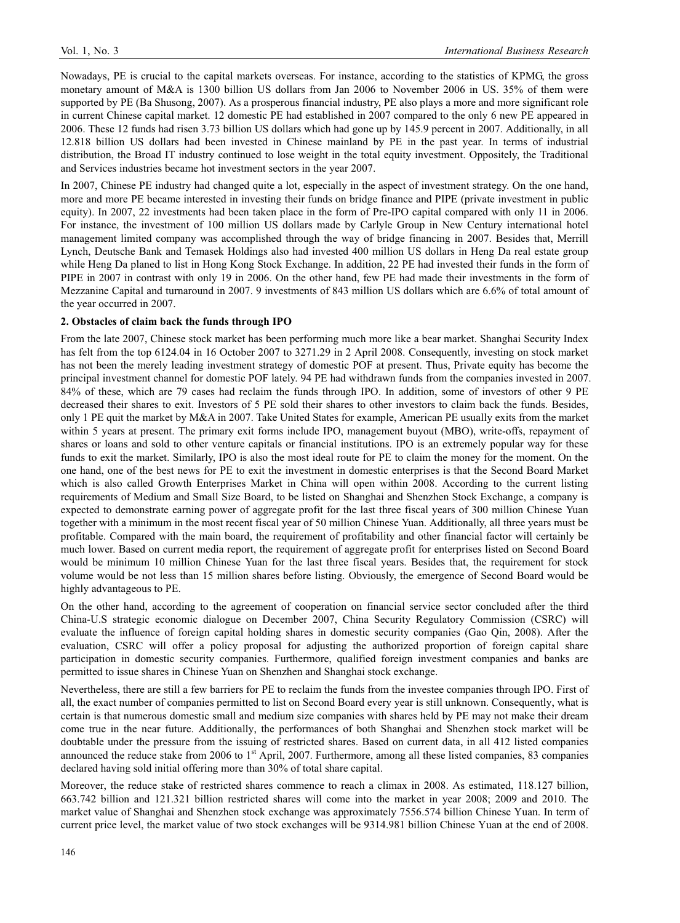Nowadays, PE is crucial to the capital markets overseas. For instance, according to the statistics of KPMG, the gross monetary amount of M&A is 1300 billion US dollars from Jan 2006 to November 2006 in US. 35% of them were supported by PE (Ba Shusong, 2007). As a prosperous financial industry, PE also plays a more and more significant role in current Chinese capital market. 12 domestic PE had established in 2007 compared to the only 6 new PE appeared in 2006. These 12 funds had risen 3.73 billion US dollars which had gone up by 145.9 percent in 2007. Additionally, in all 12.818 billion US dollars had been invested in Chinese mainland by PE in the past year. In terms of industrial distribution, the Broad IT industry continued to lose weight in the total equity investment. Oppositely, the Traditional and Services industries became hot investment sectors in the year 2007.

In 2007, Chinese PE industry had changed quite a lot, especially in the aspect of investment strategy. On the one hand, more and more PE became interested in investing their funds on bridge finance and PIPE (private investment in public equity). In 2007, 22 investments had been taken place in the form of Pre-IPO capital compared with only 11 in 2006. For instance, the investment of 100 million US dollars made by Carlyle Group in New Century international hotel management limited company was accomplished through the way of bridge financing in 2007. Besides that, Merrill Lynch, Deutsche Bank and Temasek Holdings also had invested 400 million US dollars in Heng Da real estate group while Heng Da planed to list in Hong Kong Stock Exchange. In addition, 22 PE had invested their funds in the form of PIPE in 2007 in contrast with only 19 in 2006. On the other hand, few PE had made their investments in the form of Mezzanine Capital and turnaround in 2007. 9 investments of 843 million US dollars which are 6.6% of total amount of the year occurred in 2007.

#### **2. Obstacles of claim back the funds through IPO**

From the late 2007, Chinese stock market has been performing much more like a bear market. Shanghai Security Index has felt from the top 6124.04 in 16 October 2007 to 3271.29 in 2 April 2008. Consequently, investing on stock market has not been the merely leading investment strategy of domestic POF at present. Thus, Private equity has become the principal investment channel for domestic POF lately. 94 PE had withdrawn funds from the companies invested in 2007. 84% of these, which are 79 cases had reclaim the funds through IPO. In addition, some of investors of other 9 PE decreased their shares to exit. Investors of 5 PE sold their shares to other investors to claim back the funds. Besides, only 1 PE quit the market by M&A in 2007. Take United States for example, American PE usually exits from the market within 5 years at present. The primary exit forms include IPO, management buyout (MBO), write-offs, repayment of shares or loans and sold to other venture capitals or financial institutions. IPO is an extremely popular way for these funds to exit the market. Similarly, IPO is also the most ideal route for PE to claim the money for the moment. On the one hand, one of the best news for PE to exit the investment in domestic enterprises is that the Second Board Market which is also called Growth Enterprises Market in China will open within 2008. According to the current listing requirements of Medium and Small Size Board, to be listed on Shanghai and Shenzhen Stock Exchange, a company is expected to demonstrate earning power of aggregate profit for the last three fiscal years of 300 million Chinese Yuan together with a minimum in the most recent fiscal year of 50 million Chinese Yuan. Additionally, all three years must be profitable. Compared with the main board, the requirement of profitability and other financial factor will certainly be much lower. Based on current media report, the requirement of aggregate profit for enterprises listed on Second Board would be minimum 10 million Chinese Yuan for the last three fiscal years. Besides that, the requirement for stock volume would be not less than 15 million shares before listing. Obviously, the emergence of Second Board would be highly advantageous to PE.

On the other hand, according to the agreement of cooperation on financial service sector concluded after the third China-U.S strategic economic dialogue on December 2007, China Security Regulatory Commission (CSRC) will evaluate the influence of foreign capital holding shares in domestic security companies (Gao Qin, 2008). After the evaluation, CSRC will offer a policy proposal for adjusting the authorized proportion of foreign capital share participation in domestic security companies. Furthermore, qualified foreign investment companies and banks are permitted to issue shares in Chinese Yuan on Shenzhen and Shanghai stock exchange.

Nevertheless, there are still a few barriers for PE to reclaim the funds from the investee companies through IPO. First of all, the exact number of companies permitted to list on Second Board every year is still unknown. Consequently, what is certain is that numerous domestic small and medium size companies with shares held by PE may not make their dream come true in the near future. Additionally, the performances of both Shanghai and Shenzhen stock market will be doubtable under the pressure from the issuing of restricted shares. Based on current data, in all 412 listed companies announced the reduce stake from 2006 to  $1<sup>st</sup>$  April, 2007. Furthermore, among all these listed companies, 83 companies declared having sold initial offering more than 30% of total share capital.

Moreover, the reduce stake of restricted shares commence to reach a climax in 2008. As estimated, 118.127 billion, 663.742 billion and 121.321 billion restricted shares will come into the market in year 2008; 2009 and 2010. The market value of Shanghai and Shenzhen stock exchange was approximately 7556.574 billion Chinese Yuan. In term of current price level, the market value of two stock exchanges will be 9314.981 billion Chinese Yuan at the end of 2008.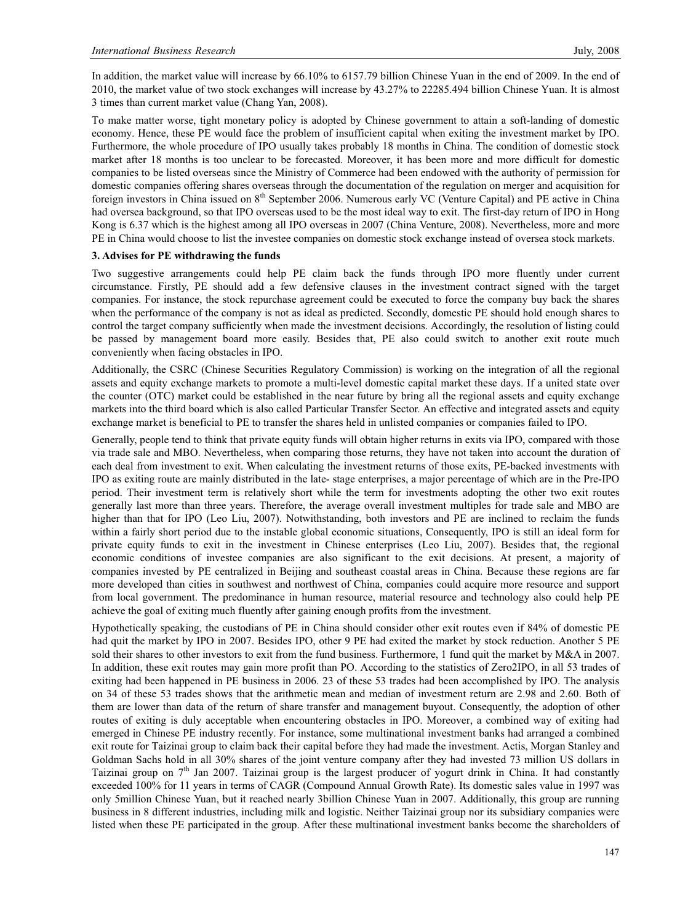In addition, the market value will increase by 66.10% to 6157.79 billion Chinese Yuan in the end of 2009. In the end of 2010, the market value of two stock exchanges will increase by 43.27% to 22285.494 billion Chinese Yuan. It is almost 3 times than current market value (Chang Yan, 2008).

To make matter worse, tight monetary policy is adopted by Chinese government to attain a soft-landing of domestic economy. Hence, these PE would face the problem of insufficient capital when exiting the investment market by IPO. Furthermore, the whole procedure of IPO usually takes probably 18 months in China. The condition of domestic stock market after 18 months is too unclear to be forecasted. Moreover, it has been more and more difficult for domestic companies to be listed overseas since the Ministry of Commerce had been endowed with the authority of permission for domestic companies offering shares overseas through the documentation of the regulation on merger and acquisition for foreign investors in China issued on 8<sup>th</sup> September 2006. Numerous early VC (Venture Capital) and PE active in China had oversea background, so that IPO overseas used to be the most ideal way to exit. The first-day return of IPO in Hong Kong is 6.37 which is the highest among all IPO overseas in 2007 (China Venture, 2008). Nevertheless, more and more PE in China would choose to list the investee companies on domestic stock exchange instead of oversea stock markets.

#### **3. Advises for PE withdrawing the funds**

Two suggestive arrangements could help PE claim back the funds through IPO more fluently under current circumstance. Firstly, PE should add a few defensive clauses in the investment contract signed with the target companies. For instance, the stock repurchase agreement could be executed to force the company buy back the shares when the performance of the company is not as ideal as predicted. Secondly, domestic PE should hold enough shares to control the target company sufficiently when made the investment decisions. Accordingly, the resolution of listing could be passed by management board more easily. Besides that, PE also could switch to another exit route much conveniently when facing obstacles in IPO.

Additionally, the CSRC (Chinese Securities Regulatory Commission) is working on the integration of all the regional assets and equity exchange markets to promote a multi-level domestic capital market these days. If a united state over the counter (OTC) market could be established in the near future by bring all the regional assets and equity exchange markets into the third board which is also called Particular Transfer Sector. An effective and integrated assets and equity exchange market is beneficial to PE to transfer the shares held in unlisted companies or companies failed to IPO.

Generally, people tend to think that private equity funds will obtain higher returns in exits via IPO, compared with those via trade sale and MBO. Nevertheless, when comparing those returns, they have not taken into account the duration of each deal from investment to exit. When calculating the investment returns of those exits, PE-backed investments with IPO as exiting route are mainly distributed in the late- stage enterprises, a major percentage of which are in the Pre-IPO period. Their investment term is relatively short while the term for investments adopting the other two exit routes generally last more than three years. Therefore, the average overall investment multiples for trade sale and MBO are higher than that for IPO (Leo Liu, 2007). Notwithstanding, both investors and PE are inclined to reclaim the funds within a fairly short period due to the instable global economic situations, Consequently, IPO is still an ideal form for private equity funds to exit in the investment in Chinese enterprises (Leo Liu, 2007). Besides that, the regional economic conditions of investee companies are also significant to the exit decisions. At present, a majority of companies invested by PE centralized in Beijing and southeast coastal areas in China. Because these regions are far more developed than cities in southwest and northwest of China, companies could acquire more resource and support from local government. The predominance in human resource, material resource and technology also could help PE achieve the goal of exiting much fluently after gaining enough profits from the investment.

Hypothetically speaking, the custodians of PE in China should consider other exit routes even if 84% of domestic PE had quit the market by IPO in 2007. Besides IPO, other 9 PE had exited the market by stock reduction. Another 5 PE sold their shares to other investors to exit from the fund business. Furthermore, 1 fund quit the market by M&A in 2007. In addition, these exit routes may gain more profit than PO. According to the statistics of Zero2IPO, in all 53 trades of exiting had been happened in PE business in 2006. 23 of these 53 trades had been accomplished by IPO. The analysis on 34 of these 53 trades shows that the arithmetic mean and median of investment return are 2.98 and 2.60. Both of them are lower than data of the return of share transfer and management buyout. Consequently, the adoption of other routes of exiting is duly acceptable when encountering obstacles in IPO. Moreover, a combined way of exiting had emerged in Chinese PE industry recently. For instance, some multinational investment banks had arranged a combined exit route for Taizinai group to claim back their capital before they had made the investment. Actis, Morgan Stanley and Goldman Sachs hold in all 30% shares of the joint venture company after they had invested 73 million US dollars in Taizinai group on 7<sup>th</sup> Jan 2007. Taizinai group is the largest producer of yogurt drink in China. It had constantly exceeded 100% for 11 years in terms of CAGR (Compound Annual Growth Rate). Its domestic sales value in 1997 was only 5million Chinese Yuan, but it reached nearly 3billion Chinese Yuan in 2007. Additionally, this group are running business in 8 different industries, including milk and logistic. Neither Taizinai group nor its subsidiary companies were listed when these PE participated in the group. After these multinational investment banks become the shareholders of